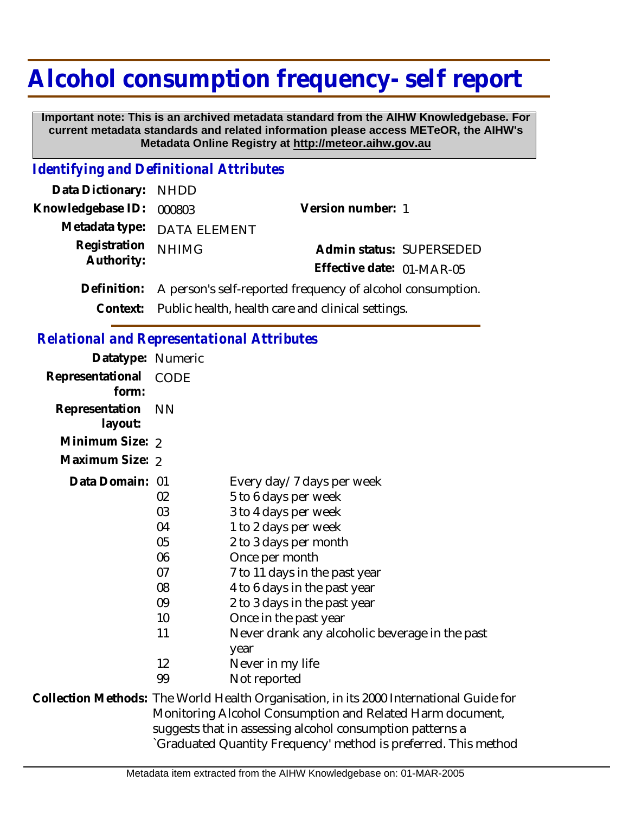# **Alcohol consumption frequency- self report**

 **Important note: This is an archived metadata standard from the AIHW Knowledgebase. For current metadata standards and related information please access METeOR, the AIHW's Metadata Online Registry at http://meteor.aihw.gov.au**

### *Identifying and Definitional Attributes*

| Data Dictionary: NHDD    |                                                            |                           |  |
|--------------------------|------------------------------------------------------------|---------------------------|--|
| Knowledgebase ID: 000803 |                                                            | Version number: 1         |  |
|                          | Metadata type: DATA ELEMENT                                |                           |  |
| Registration             | <b>NHIMG</b>                                               | Admin status: SUPERSEDED  |  |
| Authority:               |                                                            | Effective date: 01-MAR-05 |  |
| Definition:              | A person's self-reported frequency of alcohol consumption. |                           |  |
|                          | Context: Public health, health care and clinical settings. |                           |  |

#### *Relational and Representational Attributes*

| Datatype: Numeric         |           |                                                                                        |
|---------------------------|-----------|----------------------------------------------------------------------------------------|
| Representational<br>form: | CODE      |                                                                                        |
| Representation<br>layout: | <b>NN</b> |                                                                                        |
| Minimum Size: 2           |           |                                                                                        |
| Maximum Size: 2           |           |                                                                                        |
| Data Domain: 01           |           | Every day/7 days per week                                                              |
|                           | 02        | 5 to 6 days per week                                                                   |
|                           | 03        | 3 to 4 days per week                                                                   |
|                           | 04        | 1 to 2 days per week                                                                   |
|                           | 05        | 2 to 3 days per month                                                                  |
|                           | 06        | Once per month                                                                         |
|                           | 07        | 7 to 11 days in the past year                                                          |
|                           | 08        | 4 to 6 days in the past year                                                           |
|                           | 09        | 2 to 3 days in the past year                                                           |
|                           | 10        | Once in the past year                                                                  |
|                           | 11        | Never drank any alcoholic beverage in the past                                         |
|                           |           | year                                                                                   |
|                           | 12        | Never in my life                                                                       |
|                           | 99        | Not reported                                                                           |
|                           |           | Collection Methods: The World Health Organisation, in its 2000 International Guide for |

Monitoring Alcohol Consumption and Related Harm document, suggests that in assessing alcohol consumption patterns a `Graduated Quantity Frequency' method is preferred. This method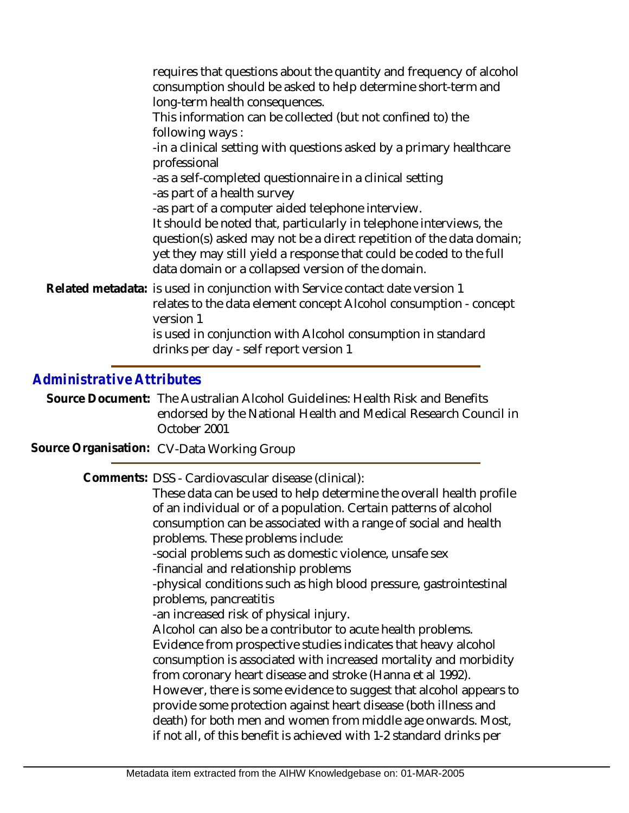requires that questions about the quantity and frequency of alcohol consumption should be asked to help determine short-term and long-term health consequences. This information can be collected (but not confined to) the following ways : -in a clinical setting with questions asked by a primary healthcare professional -as a self-completed questionnaire in a clinical setting -as part of a health survey -as part of a computer aided telephone interview. It should be noted that, particularly in telephone interviews, the question(s) asked may not be a direct repetition of the data domain; yet they may still yield a response that could be coded to the full data domain or a collapsed version of the domain. Related metadata: is used in conjunction with Service contact date version 1 relates to the data element concept Alcohol consumption - concept version 1 is used in conjunction with Alcohol consumption in standard drinks per day - self report version 1

## *Administrative Attributes*

Source Document: The Australian Alcohol Guidelines: Health Risk and Benefits endorsed by the National Health and Medical Research Council in October 2001

**Source Organisation:** CV-Data Working Group

Comments: DSS - Cardiovascular disease (clinical):

These data can be used to help determine the overall health profile of an individual or of a population. Certain patterns of alcohol consumption can be associated with a range of social and health problems. These problems include:

-social problems such as domestic violence, unsafe sex -financial and relationship problems

-physical conditions such as high blood pressure, gastrointestinal problems, pancreatitis

-an increased risk of physical injury.

Alcohol can also be a contributor to acute health problems. Evidence from prospective studies indicates that heavy alcohol consumption is associated with increased mortality and morbidity from coronary heart disease and stroke (Hanna et al 1992). However, there is some evidence to suggest that alcohol appears to provide some protection against heart disease (both illness and death) for both men and women from middle age onwards. Most, if not all, of this benefit is achieved with 1-2 standard drinks per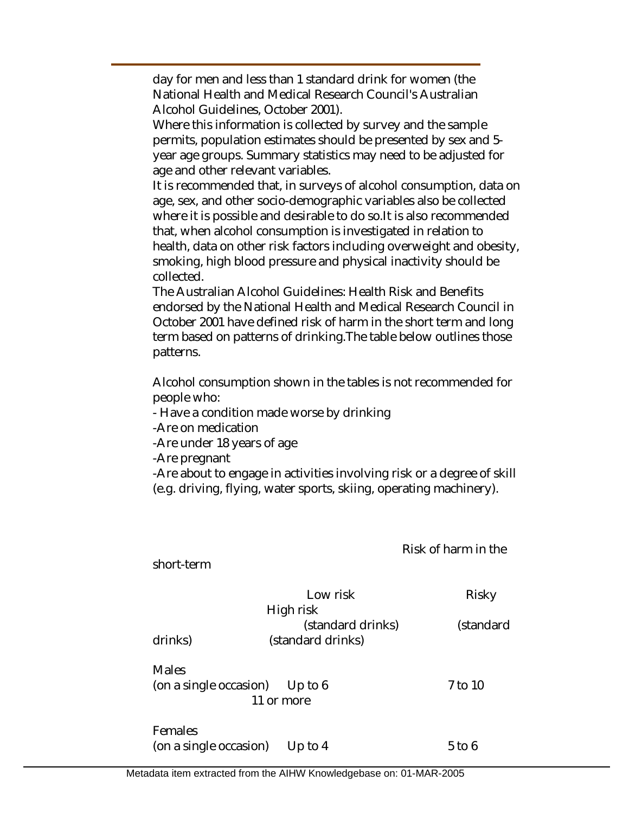day for men and less than 1 standard drink for women (the National Health and Medical Research Council's Australian Alcohol Guidelines, October 2001).

Where this information is collected by survey and the sample permits, population estimates should be presented by sex and 5 year age groups. Summary statistics may need to be adjusted for age and other relevant variables.

It is recommended that, in surveys of alcohol consumption, data on age, sex, and other socio-demographic variables also be collected where it is possible and desirable to do so.It is also recommended that, when alcohol consumption is investigated in relation to health, data on other risk factors including overweight and obesity, smoking, high blood pressure and physical inactivity should be collected.

The Australian Alcohol Guidelines: Health Risk and Benefits endorsed by the National Health and Medical Research Council in October 2001 have defined risk of harm in the short term and long term based on patterns of drinking.The table below outlines those patterns.

Alcohol consumption shown in the tables is not recommended for people who:

- Have a condition made worse by drinking

-Are on medication

-Are under 18 years of age

-Are pregnant

-Are about to engage in activities involving risk or a degree of skill (e.g. driving, flying, water sports, skiing, operating machinery).

Risk of harm in the

| short-term             |                                |           |
|------------------------|--------------------------------|-----------|
|                        | Low risk                       | Risky     |
|                        | High risk                      |           |
|                        | (standard drinks)              | (standard |
| drinks)                | (standard drinks)              |           |
| <b>Males</b>           |                                |           |
|                        | (on a single occasion) Up to 6 | 7 to 10   |
|                        | 11 or more                     |           |
| Females                |                                |           |
| (on a single occasion) | Up to $4$                      | 5 to 6    |